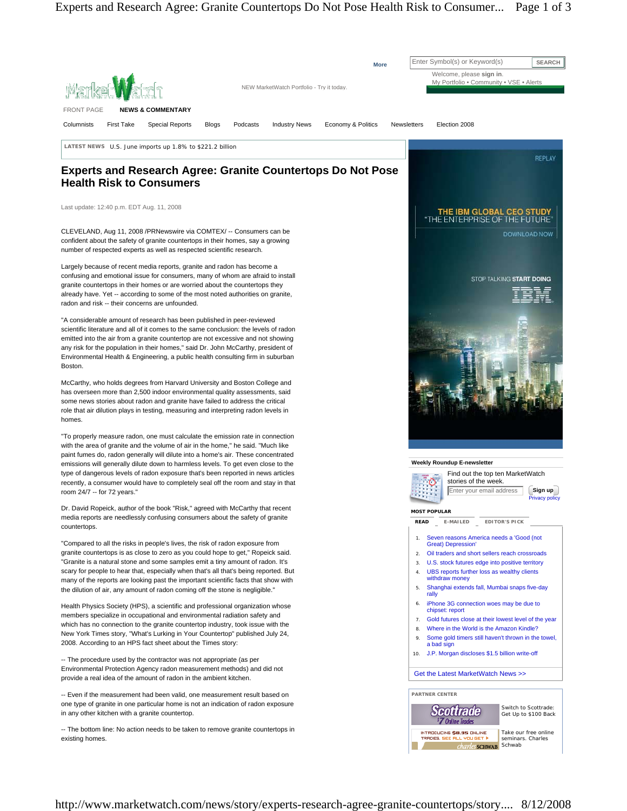